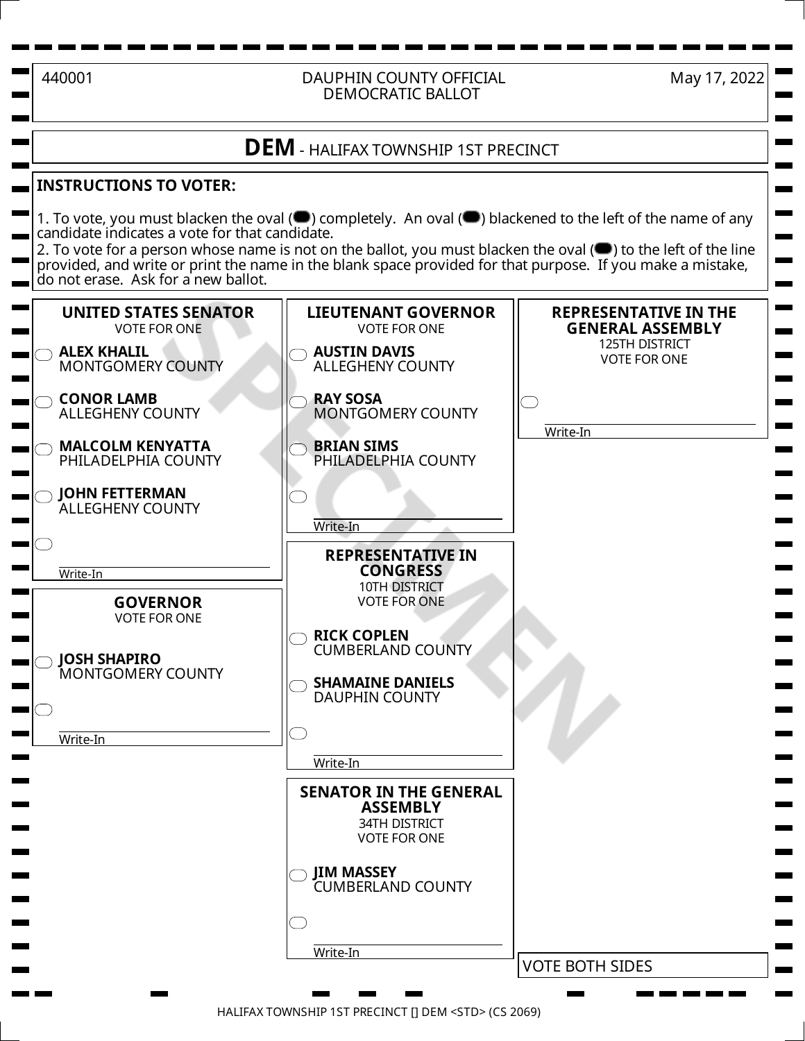## 440001 DAUPHIN COUNTY OFFICIAL DEMOCRATIC BALLOT

May 17, 2022

## **DEM** - HALIFAX TOWNSHIP 1ST PRECINCT

## **INSTRUCTIONS TO VOTER:**

1. To vote, you must blacken the oval ( $\blacksquare$ ) completely. An oval ( $\blacksquare$ ) blackened to the left of the name of any candidate indicates a vote for that candidate.

2. To vote for a person whose name is not on the ballot, you must blacken the oval ( $\blacksquare$ ) to the left of the line provided, and write or print the name in the blank space provided for that purpose. If you make a mistake, do not erase. Ask for a new ballot.

| <b>UNITED STATES SENATOR</b><br><b>VOTE FOR ONE</b>                         | <b>LIEUTENANT GOVERNOR</b><br><b>VOTE FOR ONE</b>                                                  | <b>REPRESENTATIVE IN THE</b><br><b>GENERAL ASSEMBLY</b> |
|-----------------------------------------------------------------------------|----------------------------------------------------------------------------------------------------|---------------------------------------------------------|
| <b>ALEX KHALIL</b><br><b>MONTGOMERY COUNTY</b>                              | <b>AUSTIN DAVIS</b><br><b>ALLEGHENY COUNTY</b>                                                     | 125TH DISTRICT<br><b>VOTE FOR ONE</b>                   |
| <b>CONOR LAMB</b><br><b>ALLEGHENY COUNTY</b>                                | <b>RAY SOSA</b><br><b>MONTGOMERY COUNTY</b>                                                        | Write-In                                                |
| <b>MALCOLM KENYATTA</b><br>PHILADELPHIA COUNTY                              | <b>BRIAN SIMS</b><br>PHILADELPHIA COUNTY                                                           |                                                         |
| <b>JOHN FETTERMAN</b><br>ALLEGHENY COUNTY                                   | Write-In                                                                                           |                                                         |
| Write-In<br><b>GOVERNOR</b>                                                 | <b>REPRESENTATIVE IN</b><br><b>CONGRESS</b><br>10TH DISTRICT<br><b>VOTE FOR ONE</b>                |                                                         |
| <b>VOTE FOR ONE</b><br><b>JOSH SHAPIRO</b><br>MONTGOMERY COUNTY<br>Write-In | <b>RICK COPLEN</b><br><b>CUMBERLAND COUNTY</b><br><b>SHAMAINE DANIELS</b><br><b>DAUPHIN COUNTY</b> |                                                         |
|                                                                             | Write-In                                                                                           |                                                         |
|                                                                             | <b>SENATOR IN THE GENERAL</b><br><b>ASSEMBLY</b><br><b>34TH DISTRICT</b><br><b>VOTE FOR ONE</b>    |                                                         |
|                                                                             | <b>JIM MASSEY</b><br><b>CUMBERLAND COUNTY</b>                                                      |                                                         |
|                                                                             | Write-In                                                                                           | <b>VOTE BOTH SIDES</b>                                  |